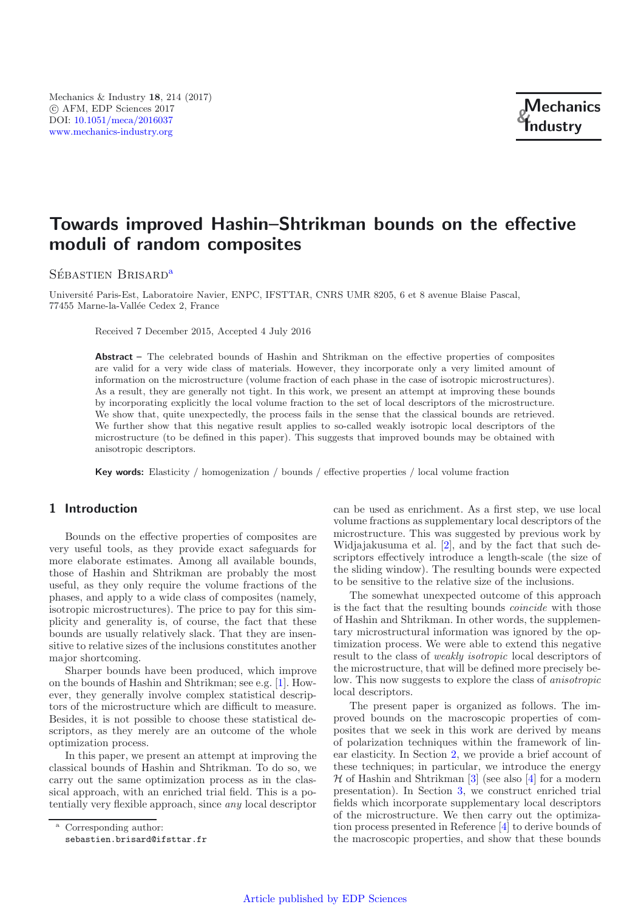# **Towards improved Hashin–Shtrikman bounds on the effective moduli of random composites**

Sébastien Brisard<sup>a</sup>

Universit´e Paris-Est, Laboratoire Navier, ENPC, IFSTTAR, CNRS UMR 8205, 6 et 8 avenue Blaise Pascal, 77455 Marne-la-Vallée Cedex 2, France

Received 7 December 2015, Accepted 4 July 2016

**Abstract** – The celebrated bounds of Hashin and Shtrikman on the effective properties of composites are valid for a very wide class of materials. However, they incorporate only a very limited amount of information on the microstructure (volume fraction of each phase in the case of isotropic microstructures). As a result, they are generally not tight. In this work, we present an attempt at improving these bounds by incorporating explicitly the local volume fraction to the set of local descriptors of the microstructure. We show that, quite unexpectedly, the process fails in the sense that the classical bounds are retrieved. We further show that this negative result applies to so-called weakly isotropic local descriptors of the microstructure (to be defined in this paper). This suggests that improved bounds may be obtained with anisotropic descriptors.

**Key words:** Elasticity / homogenization / bounds / effective properties / local volume fraction

# **1 Introduction**

Bounds on the effective properties of composites are very useful tools, as they provide exact safeguards for more elaborate estimates. Among all available bounds, those of Hashin and Shtrikman are probably the most useful, as they only require the volume fractions of the phases, and apply to a wide class of composites (namely, isotropic microstructures). The price to pay for this simplicity and generality is, of course, the fact that these bounds are usually relatively slack. That they are insensitive to relative sizes of the inclusions constitutes another major shortcoming.

Sharper bounds have been produced, which improve on the bounds of Hashin and Shtrikman; see e.g. [\[1\]](#page-4-0). However, they generally involve complex statistical descriptors of the microstructure which are difficult to measure. Besides, it is not possible to choose these statistical descriptors, as they merely are an outcome of the whole optimization process.

In this paper, we present an attempt at improving the classical bounds of Hashin and Shtrikman. To do so, we carry out the same optimization process as in the classical approach, with an enriched trial field. This is a potentially very flexible approach, since *any* local descriptor

can be used as enrichment. As a first step, we use local volume fractions as supplementary local descriptors of the microstructure. This was suggested by previous work by Widjajakusuma et al. [\[2](#page-4-1)], and by the fact that such descriptors effectively introduce a length-scale (the size of the sliding window). The resulting bounds were expected to be sensitive to the relative size of the inclusions.

The somewhat unexpected outcome of this approach is the fact that the resulting bounds *coincide* with those of Hashin and Shtrikman. In other words, the supplementary microstructural information was ignored by the optimization process. We were able to extend this negative result to the class of *weakly isotropic* local descriptors of the microstructure, that will be defined more precisely below. This now suggests to explore the class of *anisotropic* local descriptors.

The present paper is organized as follows. The improved bounds on the macroscopic properties of composites that we seek in this work are derived by means of polarization techniques within the framework of linear elasticity. In Section [2,](#page-1-0) we provide a brief account of these techniques; in particular, we introduce the energy  $H$  of Hashin and Shtrikman [\[3](#page-4-2)] (see also [\[4](#page-4-3)] for a modern presentation). In Section [3,](#page-2-0) we construct enriched trial fields which incorporate supplementary local descriptors of the microstructure. We then carry out the optimization process presented in Reference [\[4\]](#page-4-3) to derive bounds of the macroscopic properties, and show that these bounds

Corresponding author: sebastien.brisard@ifsttar.fr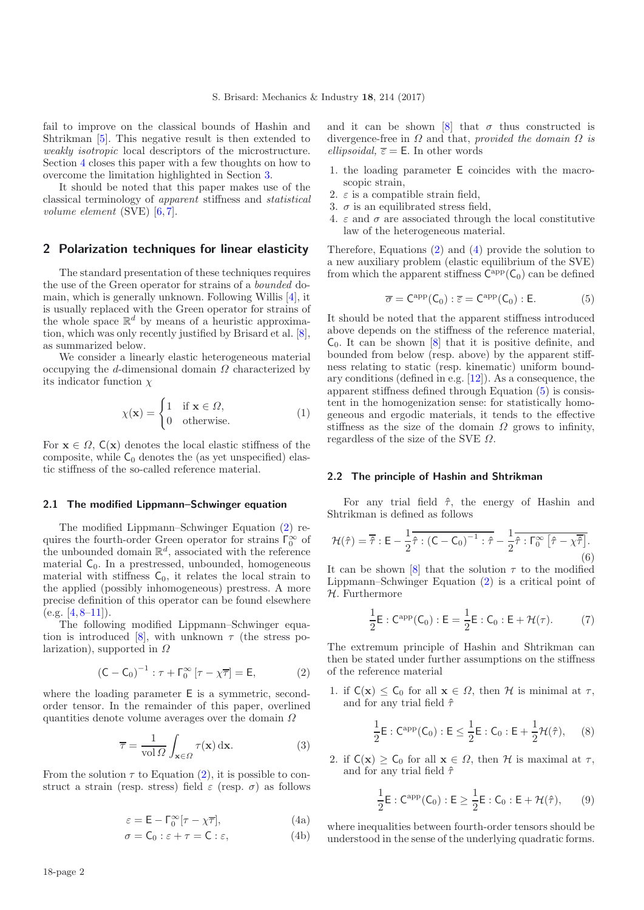fail to improve on the classical bounds of Hashin and Shtrikman [\[5](#page-4-4)]. This negative result is then extended to *weakly isotropic* local descriptors of the microstructure. Section [4](#page-4-5) closes this paper with a few thoughts on how to overcome the limitation highlighted in Section [3.](#page-2-0)

It should be noted that this paper makes use of the classical terminology of *apparent* stiffness and *statistical volume element* (SVE) [\[6,](#page-4-6) [7\]](#page-4-7).

## <span id="page-1-0"></span>**2 Polarization techniques for linear elasticity**

The standard presentation of these techniques requires the use of the Green operator for strains of a *bounded* domain, which is generally unknown. Following Willis [\[4\]](#page-4-3), it is usually replaced with the Green operator for strains of the whole space  $\mathbb{R}^d$  by means of a heuristic approximation, which was only recently justified by Brisard et al. [\[8\]](#page-4-8), as summarized below.

We consider a linearly elastic heterogeneous material occupying the d-dimensional domain  $\Omega$  characterized by its indicator function  $\chi$ 

$$
\chi(\mathbf{x}) = \begin{cases} 1 & \text{if } \mathbf{x} \in \Omega, \\ 0 & \text{otherwise.} \end{cases}
$$
 (1)

For  $\mathbf{x} \in \Omega$ ,  $C(\mathbf{x})$  denotes the local elastic stiffness of the composite, while  $C_0$  denotes the (as yet unspecified) elastic stiffness of the so-called reference material.

#### <span id="page-1-1"></span>**2.1 The modified Lippmann–Schwinger equation**

The modified Lippmann–Schwinger Equation [\(2\)](#page-1-1) requires the fourth-order Green operator for strains  $\Gamma_0^{\infty}$  of the unbounded domain  $\mathbb{R}^d$ , associated with the reference material  $C_0$ . In a prestressed, unbounded, homogeneous material with stiffness  $C_0$ , it relates the local strain to the applied (possibly inhomogeneous) prestress. A more precise definition of this operator can be found elsewhere  $(e.g. [4, 8-11]).$  $(e.g. [4, 8-11]).$  $(e.g. [4, 8-11]).$  $(e.g. [4, 8-11]).$  $(e.g. [4, 8-11]).$ 

<span id="page-1-2"></span>The following modified Lippmann–Schwinger equa-tion is introduced [\[8](#page-4-8)], with unknown  $\tau$  (the stress polarization), supported in  $\Omega$ 

$$
\left(\mathsf{C} - \mathsf{C}_0\right)^{-1} : \tau + \Gamma_0^{\infty} \left[\tau - \chi \overline{\tau}\right] = \mathsf{E},\tag{2}
$$

where the loading parameter E is a symmetric, secondorder tensor. In the remainder of this paper, overlined quantities denote volume averages over the domain  $\Omega$ 

$$
\overline{\tau} = \frac{1}{\text{vol}\,\Omega} \int_{\mathbf{x}\in\Omega} \tau(\mathbf{x}) \,\mathrm{d}\mathbf{x}.\tag{3}
$$

From the solution  $\tau$  to Equation [\(2\)](#page-1-1), it is possible to construct a strain (resp. stress) field  $\varepsilon$  (resp.  $\sigma$ ) as follows

$$
\varepsilon = \mathsf{E} - \Gamma_0^{\infty} [\tau - \chi \overline{\tau}], \tag{4a}
$$

$$
\sigma = \mathsf{C}_0 : \varepsilon + \tau = \mathsf{C} : \varepsilon,\tag{4b}
$$

<span id="page-1-3"></span>and it can be shown [\[8](#page-4-8)] that  $\sigma$  thus constructed is divergence-free in Ω and that, *provided the domain* Ω *is ellipsoidal,*  $\overline{\epsilon} = \mathsf{E}$ . In other words

- 1. the loading parameter E coincides with the macroscopic strain,
- 2.  $\varepsilon$  is a compatible strain field,
- 3.  $\sigma$  is an equilibrated stress field,
- 4.  $\varepsilon$  and  $\sigma$  are associated through the local constitutive law of the heterogeneous material.

Therefore, Equations [\(2\)](#page-1-1) and [\(4\)](#page-1-2) provide the solution to a new auxiliary problem (elastic equilibrium of the SVE) from which the apparent stiffness  $C^{app}(\mathsf{C}_0)$  can be defined

$$
\overline{\sigma} = C^{\rm app}(C_0) : \overline{\varepsilon} = C^{\rm app}(C_0) : E. \tag{5}
$$

It should be noted that the apparent stiffness introduced above depends on the stiffness of the reference material,  $\mathsf{C}_0$ . It can be shown  $[8]$  $[8]$  that it is positive definite, and bounded from below (resp. above) by the apparent stiffness relating to static (resp. kinematic) uniform boundary conditions (defined in e.g. [\[12\]](#page-4-10)). As a consequence, the apparent stiffness defined through Equation [\(5\)](#page-1-3) is consistent in the homogenization sense: for statistically homogeneous and ergodic materials, it tends to the effective stiffness as the size of the domain  $\Omega$  grows to infinity, regardless of the size of the SVE  $\Omega$ .

#### **2.2 The principle of Hashin and Shtrikman**

For any trial field  $\hat{\tau}$ , the energy of Hashin and Shtrikman is defined as follows

<span id="page-1-4"></span>
$$
\mathcal{H}(\hat{\tau}) = \overline{\hat{\tau}} : \mathsf{E} - \frac{1}{2}\hat{\tau} : (\mathsf{C} - \mathsf{C}_0)^{-1} : \hat{\tau} - \frac{1}{2}\hat{\tau} : \Gamma_0^{\infty} [\hat{\tau} - \chi \overline{\hat{\tau}}].
$$
\n(6)

It can be shown [\[8](#page-4-8)] that the solution  $\tau$  to the modified Lippmann–Schwinger Equation [\(2\)](#page-1-1) is a critical point of H. Furthermore

$$
\frac{1}{2}E : C^{app}(C_0) : E = \frac{1}{2}E : C_0 : E + \mathcal{H}(\tau). \tag{7}
$$

The extremum principle of Hashin and Shtrikman can then be stated under further assumptions on the stiffness of the reference material

1. if  $C(\mathbf{x}) \leq C_0$  for all  $\mathbf{x} \in \Omega$ , then H is minimal at  $\tau$ , and for any trial field  $\hat{\tau}$ 

$$
\frac{1}{2}E : C^{app}(C_0) : E \le \frac{1}{2}E : C_0 : E + \frac{1}{2} \mathcal{H}(\hat{\tau}), \quad (8)
$$

2. if  $C(\mathbf{x}) \geq C_0$  for all  $\mathbf{x} \in \Omega$ , then H is maximal at  $\tau$ , and for any trial field  $\hat{\tau}$ 

$$
\frac{1}{2}E : C^{\mathrm{app}}(C_0) : E \ge \frac{1}{2}E : C_0 : E + \mathcal{H}(\hat{\tau}), \qquad (9)
$$

where inequalities between fourth-order tensors should be understood in the sense of the underlying quadratic forms.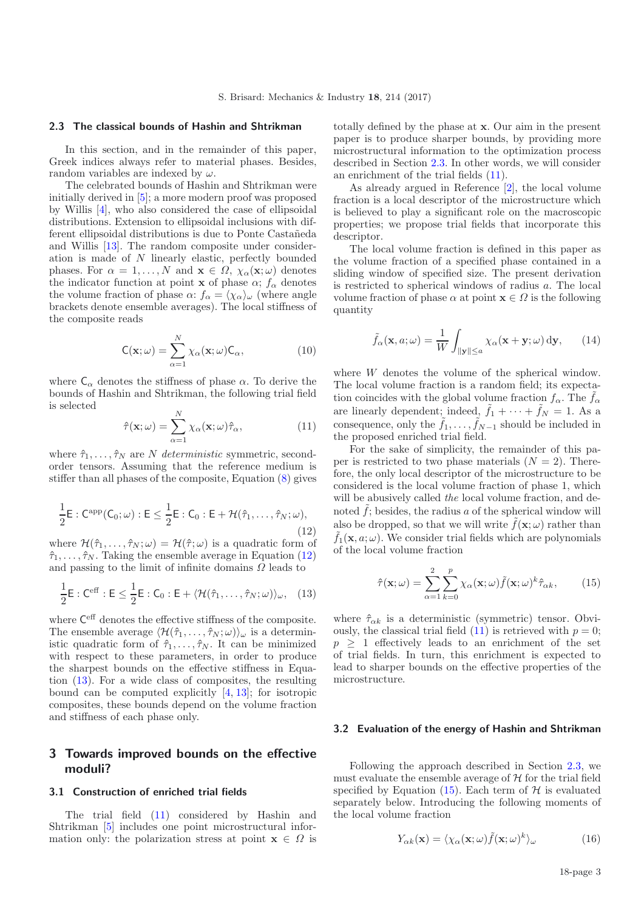#### <span id="page-2-4"></span>**2.3 The classical bounds of Hashin and Shtrikman**

In this section, and in the remainder of this paper, Greek indices always refer to material phases. Besides, random variables are indexed by  $\omega$ .

<span id="page-2-3"></span>The celebrated bounds of Hashin and Shtrikman were initially derived in [\[5](#page-4-4)]; a more modern proof was proposed by Willis [\[4\]](#page-4-3), who also considered the case of ellipsoidal distributions. Extension to ellipsoidal inclusions with different ellipsoidal distributions is due to Ponte Castañeda and Willis [\[13\]](#page-4-11). The random composite under consideration is made of N linearly elastic, perfectly bounded phases. For  $\alpha = 1, ..., N$  and  $\mathbf{x} \in \Omega$ ,  $\chi_{\alpha}(\mathbf{x}; \omega)$  denotes the indicator function at point **x** of phase  $\alpha$ ;  $f_{\alpha}$  denotes the volume fraction of phase  $\alpha$ :  $f_{\alpha} = \langle \chi_{\alpha} \rangle_{\omega}$  (where angle brackets denote ensemble averages). The local stiffness of the composite reads

$$
\mathsf{C}(\mathbf{x};\omega) = \sum_{\alpha=1}^{N} \chi_{\alpha}(\mathbf{x};\omega) \mathsf{C}_{\alpha}, \tag{10}
$$

<span id="page-2-1"></span>where  $C_{\alpha}$  denotes the stiffness of phase  $\alpha$ . To derive the bounds of Hashin and Shtrikman, the following trial field is selected N

$$
\hat{\tau}(\mathbf{x};\omega) = \sum_{\alpha=1}^{N} \chi_{\alpha}(\mathbf{x};\omega)\hat{\tau}_{\alpha},
$$
\n(11)

where  $\hat{\tau}_1, \ldots, \hat{\tau}_N$  are N *deterministic* symmetric, secondorder tensors. Assuming that the reference medium is stiffer than all phases of the composite, Equation [\(8\)](#page-1-4) gives

$$
\frac{1}{2} \mathsf{E} : \mathsf{C}^{\mathrm{app}}(\mathsf{C}_0; \omega) : \mathsf{E} \le \frac{1}{2} \mathsf{E} : \mathsf{C}_0 : \mathsf{E} + \mathcal{H}(\hat{\tau}_1, \dots, \hat{\tau}_N; \omega), \tag{12}
$$

where  $\mathcal{H}(\hat{\tau}_1,\ldots,\hat{\tau}_N;\omega)=\mathcal{H}(\hat{\tau};\omega)$  is a quadratic form of  $\hat{\tau}_1,\ldots,\hat{\tau}_N$ . Taking the ensemble average in Equation [\(12\)](#page-2-1) and passing to the limit of infinite domains  $\Omega$  leads to

$$
\frac{1}{2}\mathsf{E}:\mathsf{C}^{\text{eff}}:\mathsf{E}\leq\frac{1}{2}\mathsf{E}:\mathsf{C}_0:\mathsf{E}+\langle\mathcal{H}(\hat{\tau}_1,\ldots,\hat{\tau}_N;\omega)\rangle_{\omega},\quad(13)
$$

where Ceff denotes the effective stiffness of the composite. The ensemble average  $\langle \mathcal{H}(\hat{\tau}_1,\ldots,\hat{\tau}_N;\omega) \rangle_\omega$  is a deterministic quadratic form of  $\hat{\tau}_1, \ldots, \hat{\tau}_N$ . It can be minimized with respect to these parameters, in order to produce the sharpest bounds on the effective stiffness in Equation [\(13\)](#page-2-2). For a wide class of composites, the resulting bound can be computed explicitly [\[4](#page-4-3), [13](#page-4-11)]; for isotropic composites, these bounds depend on the volume fraction and stiffness of each phase only.

# <span id="page-2-0"></span>**3 Towards improved bounds on the effective moduli?**

#### **3.1 Construction of enriched trial fields**

The trial field [\(11\)](#page-2-3) considered by Hashin and Shtrikman [\[5](#page-4-4)] includes one point microstructural information only: the polarization stress at point  $\mathbf{x} \in \Omega$  is totally defined by the phase at **x**. Our aim in the present paper is to produce sharper bounds, by providing more microstructural information to the optimization process described in Section [2.3.](#page-2-4) In other words, we will consider an enrichment of the trial fields [\(11\)](#page-2-3).

As already argued in Reference [\[2](#page-4-1)], the local volume fraction is a local descriptor of the microstructure which is believed to play a significant role on the macroscopic properties; we propose trial fields that incorporate this descriptor.

The local volume fraction is defined in this paper as the volume fraction of a specified phase contained in a sliding window of specified size. The present derivation is restricted to spherical windows of radius a. The local volume fraction of phase  $\alpha$  at point  $\mathbf{x} \in \Omega$  is the following quantity

$$
\tilde{f}_{\alpha}(\mathbf{x}, a; \omega) = \frac{1}{W} \int_{\|\mathbf{y}\| \le a} \chi_{\alpha}(\mathbf{x} + \mathbf{y}; \omega) \, \mathrm{d}\mathbf{y}, \qquad (14)
$$

<span id="page-2-5"></span><span id="page-2-2"></span>where W denotes the volume of the spherical window. The local volume fraction is a random field; its expectation coincides with the global volume fraction  $f_{\alpha}$ . The  $\tilde{f}_{\alpha}$ are linearly dependent; indeed,  $\tilde{f}_1 + \cdots + \tilde{f}_N = 1$ . As a consequence, only the  $\tilde{f}_1, \ldots, \tilde{f}_{N-1}$  should be included in the proposed enriched trial field.

For the sake of simplicity, the remainder of this paper is restricted to two phase materials  $(N = 2)$ . Therefore, the only local descriptor of the microstructure to be considered is the local volume fraction of phase 1, which will be abusively called *the* local volume fraction, and denoted  $\hat{f}$ ; besides, the radius a of the spherical window will also be dropped, so that we will write  $\tilde{f}(\mathbf{x}; \omega)$  rather than  $\tilde{f}_1(\mathbf{x}, a; \omega)$ . We consider trial fields which are polynomials of the local volume fraction

$$
\hat{\tau}(\mathbf{x};\omega) = \sum_{\alpha=1}^{2} \sum_{k=0}^{p} \chi_{\alpha}(\mathbf{x};\omega) \tilde{f}(\mathbf{x};\omega)^{k} \hat{\tau}_{\alpha k},
$$
(15)

where  $\hat{\tau}_{\alpha k}$  is a deterministic (symmetric) tensor. Obviously, the classical trial field  $(11)$  is retrieved with  $p = 0$ ;  $p \geq 1$  effectively leads to an enrichment of the set of trial fields. In turn, this enrichment is expected to lead to sharper bounds on the effective properties of the microstructure.

#### **3.2 Evaluation of the energy of Hashin and Shtrikman**

Following the approach described in Section [2.3,](#page-2-4) we must evaluate the ensemble average of  $H$  for the trial field specified by Equation  $(15)$ . Each term of  $H$  is evaluated separately below. Introducing the following moments of the local volume fraction

$$
Y_{\alpha k}(\mathbf{x}) = \langle \chi_{\alpha}(\mathbf{x}; \omega) \tilde{f}(\mathbf{x}; \omega)^k \rangle_{\omega}
$$
(16)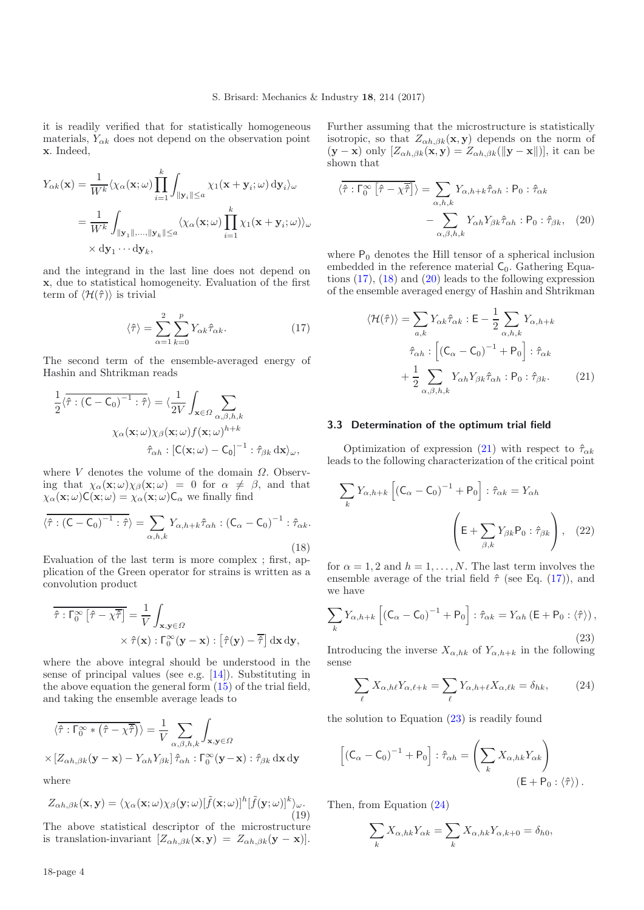<span id="page-3-0"></span>it is readily verified that for statistically homogeneous materials,  $Y_{\alpha k}$  does not depend on the observation point **x**. Indeed,

$$
Y_{\alpha k}(\mathbf{x}) = \frac{1}{W^k} \langle \chi_{\alpha}(\mathbf{x}; \omega) \prod_{i=1}^k \int_{\|\mathbf{y}_i\| \le a} \chi_1(\mathbf{x} + \mathbf{y}_i; \omega) \, d\mathbf{y}_i \rangle_{\omega}
$$
  
= 
$$
\frac{1}{W^k} \int_{\|\mathbf{y}_1\|, \dots, \|\mathbf{y}_k\| \le a} \langle \chi_{\alpha}(\mathbf{x}; \omega) \prod_{i=1}^k \chi_1(\mathbf{x} + \mathbf{y}_i; \omega) \rangle_{\omega}
$$
  
 $\times d\mathbf{y}_1 \cdots d\mathbf{y}_k$ ,

and the integrand in the last line does not depend on **x**, due to statistical homogeneity. Evaluation of the first term of  $\langle \mathcal{H}(\hat{\tau}) \rangle$  is trivial

<span id="page-3-1"></span>
$$
\langle \hat{\tau} \rangle = \sum_{\alpha=1}^{2} \sum_{k=0}^{p} Y_{\alpha k} \hat{\tau}_{\alpha k}.
$$
 (17)

The second term of the ensemble-averaged energy of Hashin and Shtrikman reads

$$
\frac{1}{2}\langle \hat{\tau} : (\mathsf{C} - \mathsf{C}_0)^{-1} : \hat{\tau} \rangle = \langle \frac{1}{2V} \int_{\mathbf{x} \in \Omega} \sum_{\alpha, \beta, h, k} \times \langle \mathbf{x} : \omega \rangle \chi_{\beta}(\mathbf{x}; \omega) f(\mathbf{x}; \omega)^{h+k} \cdot \hat{\tau}_{\alpha h} : [\mathsf{C}(\mathbf{x}; \omega) - \mathsf{C}_0]^{-1} : \hat{\tau}_{\beta k} \, \mathrm{d}\mathbf{x} \rangle_{\omega},
$$

where  $V$  denotes the volume of the domain  $\Omega$ . Observing that  $\chi_{\alpha}(\mathbf{x};\omega)\chi_{\beta}(\mathbf{x};\omega) = 0$  for  $\alpha \neq \beta$ , and that  $\chi_{\alpha}(\mathbf{x};\omega)C(\mathbf{x};\omega)=\chi_{\alpha}(\mathbf{x};\omega)C_{\alpha}$  we finally find

$$
\langle \hat{\tau} : (\mathsf{C} - \mathsf{C}_0)^{-1} : \hat{\tau} \rangle = \sum_{\alpha, h, k} Y_{\alpha, h + k} \hat{\tau}_{\alpha h} : (\mathsf{C}_{\alpha} - \mathsf{C}_0)^{-1} : \hat{\tau}_{\alpha k}.
$$
\n(18)

Evaluation of the last term is more complex ; first, application of the Green operator for strains is written as a convolution product

$$
\begin{aligned}\n\hat{\tau} : \Gamma_0^{\infty} \left[ \hat{\tau} - \chi \overline{\hat{\tau}} \right] &= \frac{1}{V} \int_{\mathbf{x}, \mathbf{y} \in \Omega} \\
&\times \hat{\tau}(\mathbf{x}) : \Gamma_0^{\infty}(\mathbf{y} - \mathbf{x}) : \left[ \hat{\tau}(\mathbf{y}) - \overline{\hat{\tau}} \right] \mathrm{d}\mathbf{x} \, \mathrm{d}\mathbf{y},\n\end{aligned}
$$

where the above integral should be understood in the sense of principal values (see e.g. [\[14\]](#page-4-12)). Substituting in the above equation the general form [\(15\)](#page-2-5) of the trial field, and taking the ensemble average leads to

$$
\langle \hat{\tau} : \Gamma_0^{\infty} * (\hat{\tau} - \chi \overline{\hat{\tau}}) \rangle = \frac{1}{V} \sum_{\alpha, \beta, h, k} \int_{\mathbf{x}, \mathbf{y} \in \Omega}
$$

$$
\times \left[ Z_{\alpha h, \beta k}(\mathbf{y} - \mathbf{x}) - Y_{\alpha h} Y_{\beta k} \right] \hat{\tau}_{\alpha h} : \Gamma_0^{\infty}(\mathbf{y} - \mathbf{x}) : \hat{\tau}_{\beta k} \, \mathrm{d}\mathbf{x} \, \mathrm{d}\mathbf{y}
$$

where

$$
Z_{\alpha h,\beta k}(\mathbf{x},\mathbf{y}) = \langle \chi_{\alpha}(\mathbf{x};\omega) \chi_{\beta}(\mathbf{y};\omega) [\tilde{f}(\mathbf{x};\omega)]^h [\tilde{f}(\mathbf{y};\omega)]^k \rangle_{\omega}.
$$
\n(19)

The above statistical descriptor of the microstructure is translation-invariant  $[Z_{\alpha h,\beta k}(\mathbf{x}, \mathbf{y})] = Z_{\alpha h,\beta k}(\mathbf{y} - \mathbf{x})$ .

<span id="page-3-2"></span>Further assuming that the microstructure is statistically isotropic, so that  $Z_{\alpha h,\beta k}(\mathbf{x}, \mathbf{y})$  depends on the norm of  $(\mathbf{y} - \mathbf{x})$  only  $[Z_{\alpha h,\beta k}(\mathbf{x}, \mathbf{y})] = Z_{\alpha h,\beta k}(\mathbf{y} - \mathbf{x})$ , it can be shown that

<span id="page-3-3"></span>
$$
\langle \hat{\tau} : \Gamma_0^{\infty} \left[ \hat{\tau} - \chi \overline{\hat{\tau}} \right] \rangle = \sum_{\alpha, h, k} Y_{\alpha, h + k} \hat{\tau}_{\alpha h} : \mathsf{P}_0 : \hat{\tau}_{\alpha k} - \sum_{\alpha, \beta, h, k} Y_{\alpha h} Y_{\beta k} \hat{\tau}_{\alpha h} : \mathsf{P}_0 : \hat{\tau}_{\beta k}, \quad (20)
$$

where  $P_0$  denotes the Hill tensor of a spherical inclusion embedded in the reference material  $C_0$ . Gathering Equations  $(17)$ ,  $(18)$  and  $(20)$  leads to the following expression of the ensemble averaged energy of Hashin and Shtrikman

$$
\langle \mathcal{H}(\hat{\tau}) \rangle = \sum_{a,k} Y_{\alpha k} \hat{\tau}_{\alpha k} : \mathsf{E} - \frac{1}{2} \sum_{\alpha,h,k} Y_{\alpha,h+k}
$$

$$
\hat{\tau}_{\alpha h} : \left[ (\mathsf{C}_{\alpha} - \mathsf{C}_{0})^{-1} + \mathsf{P}_{0} \right] : \hat{\tau}_{\alpha k}
$$

$$
+ \frac{1}{2} \sum_{\alpha,\beta,h,k} Y_{\alpha h} Y_{\beta k} \hat{\tau}_{\alpha h} : \mathsf{P}_{0} : \hat{\tau}_{\beta k}. \tag{21}
$$

#### <span id="page-3-4"></span>**3.3 Determination of the optimum trial field**

Optimization of expression [\(21\)](#page-3-3) with respect to  $\hat{\tau}_{\alpha k}$ leads to the following characterization of the critical point

<span id="page-3-5"></span>
$$
\sum_{k} Y_{\alpha, h+k} \left[ \left( \mathsf{C}_{\alpha} - \mathsf{C}_{0} \right)^{-1} + \mathsf{P}_{0} \right] : \hat{\tau}_{\alpha k} = Y_{\alpha h}
$$
\n
$$
\left( \mathsf{E} + \sum_{\beta, k} Y_{\beta k} \mathsf{P}_{0} : \hat{\tau}_{\beta k} \right), \quad (22)
$$

for  $\alpha = 1, 2$  and  $h = 1, \ldots, N$ . The last term involves the ensemble average of the trial field  $\hat{\tau}$  (see Eq. [\(17\)](#page-3-0)), and we have

$$
\sum_{k} Y_{\alpha, h+k} \left[ \left( \mathsf{C}_{\alpha} - \mathsf{C}_{0} \right)^{-1} + \mathsf{P}_{0} \right] : \hat{\tau}_{\alpha k} = Y_{\alpha h} \left( \mathsf{E} + \mathsf{P}_{0} : \langle \hat{\tau} \rangle \right),
$$
\n(23)

Introducing the inverse  $X_{\alpha,hk}$  of  $Y_{\alpha,h+k}$  in the following sense

$$
\sum_{\ell} X_{\alpha,h\ell} Y_{\alpha,\ell+k} = \sum_{\ell} Y_{\alpha,h+\ell} X_{\alpha,\ell k} = \delta_{hk},\tag{24}
$$

the solution to Equation [\(23\)](#page-3-4) is readily found

$$
\left[ \left( \mathsf{C}_{\alpha} - \mathsf{C}_{0} \right)^{-1} + \mathsf{P}_{0} \right] : \hat{\tau}_{\alpha h} = \left( \sum_{k} X_{\alpha, h k} Y_{\alpha k} \right)
$$
\n
$$
\left( \mathsf{E} + \mathsf{P}_{0} : \langle \hat{\tau} \rangle \right).
$$

Then, from Equation [\(24\)](#page-3-5)

$$
\sum_{k} X_{\alpha,hk} Y_{\alpha k} = \sum_{k} X_{\alpha,hk} Y_{\alpha,k+0} = \delta_{h0},
$$